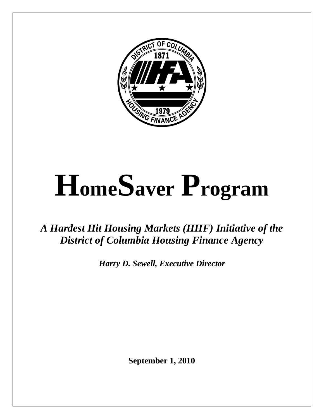

# **HomeSaver Program**

# *A Hardest Hit Housing Markets (HHF) Initiative of the District of Columbia Housing Finance Agency*

*Harry D. Sewell, Executive Director*

**September 1, 2010**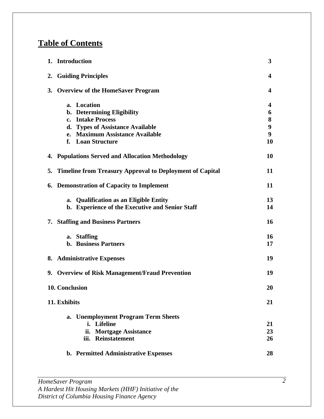# **Table of Contents**

| 1. Introduction<br>3                                        |           |  |
|-------------------------------------------------------------|-----------|--|
| 2. Guiding Principles                                       | 4         |  |
| 3. Overview of the HomeSaver Program                        | 4         |  |
| a. Location                                                 | 4         |  |
| b. Determining Eligibility                                  | 6         |  |
| c. Intake Process                                           | 8         |  |
| d. Types of Assistance Available                            | 9         |  |
| e. Maximum Assistance Available                             | 9         |  |
| f. Loan Structure                                           | 10        |  |
| 4. Populations Served and Allocation Methodology            | 10        |  |
| 5. Timeline from Treasury Approval to Deployment of Capital | 11        |  |
| 6. Demonstration of Capacity to Implement                   | 11        |  |
| a. Qualification as an Eligible Entity                      | 13        |  |
| b. Experience of the Executive and Senior Staff             | 14        |  |
| <b>7. Staffing and Business Partners</b>                    | 16        |  |
| a. Staffing                                                 | <b>16</b> |  |
| <b>b.</b> Business Partners                                 | 17        |  |
| 8. Administrative Expenses                                  | 19        |  |
| 9. Overview of Risk Management/Fraud Prevention             | 19        |  |
| 10. Conclusion                                              | 20        |  |
| 11. Exhibits                                                | 21        |  |
| a. Unemployment Program Term Sheets                         |           |  |
| i. Lifeline                                                 | 21        |  |
| ii. Mortgage Assistance                                     | 23        |  |
| iii. Reinstatement                                          | 26        |  |
| b. Permitted Administrative Expenses                        | 28        |  |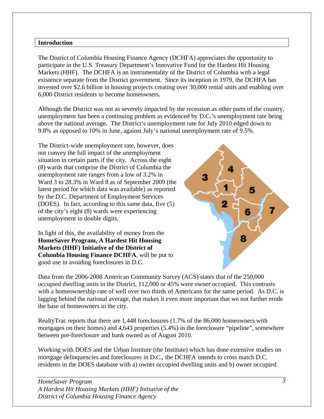#### **Introduction**

The District of Columbia Housing Finance Agency (DCHFA) appreciates the opportunity to participate in the U.S. Treasury Department's Innovative Fund for the Hardest Hit Housing Markets (HHF). The DCHFA is an instrumentality of the District of Columbia with a legal existence separate from the District government. Since its inception in 1979, the DCHFA has invested over \$2.6 billion in housing projects creating over 30,000 rental units and enabling over 6,000 District residents to become homeowners.

Although the District was not as severely impacted by the recession as other parts of the country, unemployment has been a continuing problem as evidenced by D.C.'s unemployment rate being above the national average**.** The District's unemployment rate for July 2010 edged down to 9.8% as opposed to 10% in June, against July's national unemployment rate of 9.5%.

The District-wide unemployment rate, however, does not convey the full impact of the unemployment situation in certain parts if the city. Across the eight (8) wards that comprise the District of Columbia the unemployment rate ranges from a low of 3.2% in Ward 3 to 28.3% in Ward 8 as of September 2009 (the latest period for which data was available) as reported by the D.C. Department of Employment Services (DOES). In fact, according to this same data, five (5) of the city's eight (8) wards were experiencing unemployment in double digits.

In light of this, the availability of money from the **HomeSaver Program, A Hardest Hit Housing Markets (HHF) Initiative of the District of Columbia Housing Finance DCHFA**, will be put to good use in avoiding foreclosures in D.C.



Data from the 2006-2008 American Community Survey (ACS) states that of the 250,000 occupied dwelling units in the District, 112,000 or 45% were owner occupied. This contrasts with a homeownership rate of well over two thirds of Americans for the same period. As D.C. is lagging behind the national average, that makes it even more important that we not further erode the base of homeowners in the city.

RealtyTrac reports that there are 1,448 foreclosures (1.7% of the 86,000 homeowners with mortgages on their homes) and 4,643 properties (5.4%) in the foreclosure "pipeline", somewhere between pre-foreclosure and bank owned as of August 2010.

Working with DOES and the Urban Institute (the Institute) which has done extensive studies on mortgage delinquencies and foreclosures in D.C., the DCHFA intends to cross match D.C. residents in the DOES database with a) owner occupied dwelling units and b) owner occupied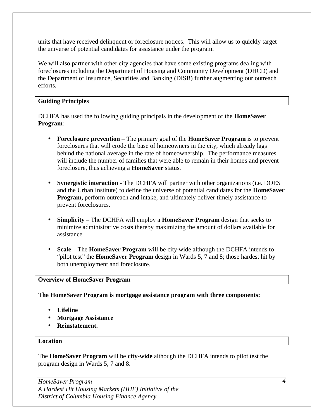units that have received delinquent or foreclosure notices. This will allow us to quickly target the universe of potential candidates for assistance under the program.

We will also partner with other city agencies that have some existing programs dealing with foreclosures including the Department of Housing and Community Development (DHCD) and the Department of Insurance, Securities and Banking (DISB) further augmenting our outreach efforts.

# **Guiding Principles**

DCHFA has used the following guiding principals in the development of the **HomeSaver Program**:

- **Foreclosure prevention** The primary goal of the **HomeSaver Program** is to prevent foreclosures that will erode the base of homeowners in the city, which already lags behind the national average in the rate of homeownership. The performance measures will include the number of families that were able to remain in their homes and prevent foreclosure, thus achieving a **HomeSaver** status.
- **Synergistic interaction** The DCHFA will partner with other organizations (i.e. DOES and the Urban Institute) to define the universe of potential candidates for the **HomeSaver Program,** perform outreach and intake, and ultimately deliver timely assistance to prevent foreclosures.
- **Simplicity**  The DCHFA will employ a **HomeSaver Program** design that seeks to minimize administrative costs thereby maximizing the amount of dollars available for assistance.
- **Scale –** The **HomeSaver Program** will be city-wide although the DCHFA intends to "pilot test" the **HomeSaver Program** design in Wards 5, 7 and 8; those hardest hit by both unemployment and foreclosure.

## **Overview of HomeSaver Program**

## **The HomeSaver Program is mortgage assistance program with three components:**

- **Lifeline**
- **Mortgage Assistance**
- **Reinstatement.**

#### **Location**

The **HomeSaver Program** will be **city-wide** although the DCHFA intends to pilot test the program design in Wards 5, 7 and 8.

*HomeSaver Program A Hardest Hit Housing Markets (HHF) Initiative of the District of Columbia Housing Finance Agency*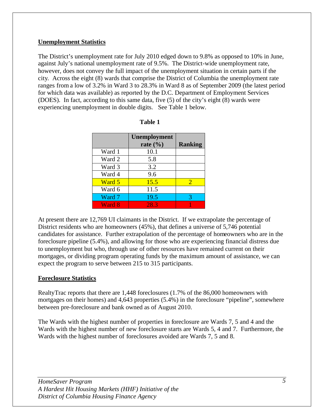# **Unemployment Statistics**

The District's unemployment rate for July 2010 edged down to 9.8% as opposed to 10% in June, against July's national unemployment rate of 9.5%. The District-wide unemployment rate, however, does not convey the full impact of the unemployment situation in certain parts if the city. Across the eight (8) wards that comprise the District of Columbia the unemployment rate ranges from a low of 3.2% in Ward 3 to 28.3% in Ward 8 as of September 2009 (the latest period for which data was available) as reported by the D.C. Department of Employment Services (DOES). In fact, according to this same data, five (5) of the city's eight (8) wards were experiencing unemployment in double digits.See Table 1 below.

|        | Unemployment<br>rate $(\% )$ | <b>Ranking</b> |
|--------|------------------------------|----------------|
| Ward 1 | 10.1                         |                |
| Ward 2 | 5.8                          |                |
| Ward 3 | 3.2                          |                |
| Ward 4 | 9.6                          |                |
| Ward 5 | 15.5                         | $\mathcal{D}$  |
| Ward 6 | 11.5                         |                |
| Ward 7 | 19.5                         | 3              |
| Ward 8 | 28.3                         |                |

| able |  |
|------|--|
|------|--|

At present there are 12,769 UI claimants in the District. If we extrapolate the percentage of District residents who are homeowners (45%), that defines a universe of 5,746 potential candidates for assistance. Further extrapolation of the percentage of homeowners who are in the foreclosure pipeline (5.4%), and allowing for those who are experiencing financial distress due to unemployment but who, through use of other resources have remained current on their mortgages, or dividing program operating funds by the maximum amount of assistance, we can expect the program to serve between 215 to 315 participants.

## **Foreclosure Statistics**

RealtyTrac reports that there are 1,448 foreclosures (1.7% of the 86,000 homeowners with mortgages on their homes) and 4,643 properties (5.4%) in the foreclosure "pipeline", somewhere between pre-foreclosure and bank owned as of August 2010.

The Wards with the highest number of properties in foreclosure are Wards 7, 5 and 4 and the Wards with the highest number of new foreclosure starts are Wards 5, 4 and 7. Furthermore, the Wards with the highest number of foreclosures avoided are Wards 7, 5 and 8.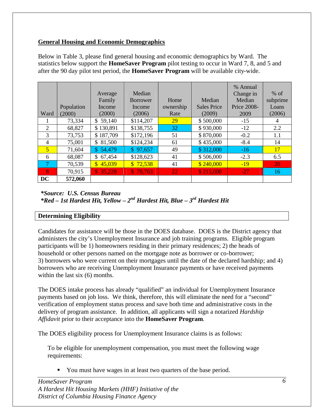# **General Housing and Economic Demographics**

|                |            |                        |                 |           |                    | % Annual    |           |
|----------------|------------|------------------------|-----------------|-----------|--------------------|-------------|-----------|
|                |            | Average                | Median          |           |                    | Change in   | $%$ of    |
|                |            | Family                 | <b>Borrower</b> | Home      | Median             | Median      | subprime  |
|                | Population | Income                 | Income          | ownership | <b>Sales Price</b> | Price 2008- | Loans     |
| Ward           | (2000)     | (2000)                 | (2006)          | Rate      | (2009)             | 2009        | (2006)    |
|                | 73,334     | \$59,140               | \$114,207       | 29        | \$500,000          | $-15$       | 4         |
| 2              | 68,827     | \$130,891              | \$138,755       | 32        | \$930,000          | $-12$       | 2.2       |
| 3              | 73,753     | \$187,709              | \$172,196       | 51        | \$870,000          | $-0.2$      | 1.1       |
| $\overline{4}$ | 75,001     | \$.<br>81,500          | \$124,234       | 61        | \$435,000          | $-8.4$      | 14        |
| $\overline{5}$ | 71,604     | \$54,479               | \$97,657        | 49        | \$312,000          | $-16$       | 17        |
| 6              | 68,087     | \$67,454               | \$128,623       | 41        | \$506,000          | $-2.3$      | 6.5       |
| -7             | 70,539     | 45,039<br>$\mathbb{S}$ | \$72,538        | 41        | \$240,000          | $-19$       | <b>20</b> |
| $\mathbf{8}$   | 70,915     | \$35,228               | \$70,763        | 22        | \$215,000          | $-27$       | 16        |
| DC             | 572,060    |                        |                 |           |                    |             |           |

Below in Table 3, please find general housing and economic demographics by Ward. The statistics below support the **HomeSaver Program** pilot testing to occur in Ward 7, 8, and 5 and after the 90 day pilot test period, the **HomeSaver Program** will be available city-wide.

# *\*Source: U.S. Census Bureau \*Red – 1st Hardest Hit, Yellow – 2nd Hardest Hit, Blue – 3rd Hardest Hit*

# **Determining Eligibility**

Candidates for assistance will be those in the DOES database. DOES is the District agency that administers the city's Unemployment Insurance and job training programs. Eligible program participants will be 1) homeowners residing in their primary residences; 2) the heads of household or other persons named on the mortgage note as borrower or co-borrower; 3) borrowers who were current on their mortgages until the date of the declared hardship; and 4) borrowers who are receiving Unemployment Insurance payments or have received payments within the last six  $(6)$  months.

The DOES intake process has already "qualified" an individual for Unemployment Insurance payments based on job loss. We think, therefore, this will eliminate the need for a "second" verification of employment status process and save both time and administrative costs in the delivery of program assistance. In addition, all applicants will sign a notarized *Hardship Affidavit* prior to their acceptance into the **HomeSaver Program**.

The DOES eligibility process for Unemployment Insurance claims is as follows:

To be eligible for unemployment compensation, you must meet the following wage requirements:

You must have wages in at least two quarters of the base period.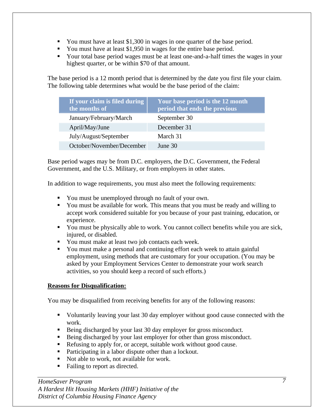- You must have at least \$1,300 in wages in one quarter of the base period.
- $\blacksquare$  You must have at least \$1,950 in wages for the entire base period.
- Your total base period wages must be at least one-and-a-half times the wages in your highest quarter, or be within \$70 of that amount.

The base period is a 12 month period that is determined by the date you first file your claim. The following table determines what would be the base period of the claim:

| If your claim is filed during<br>the months of | Your base period is the 12 month<br>period that ends the previous |
|------------------------------------------------|-------------------------------------------------------------------|
| January/February/March                         | September 30                                                      |
| April/May/June                                 | December 31                                                       |
| July/August/September                          | March 31                                                          |
| October/November/December                      | June 30                                                           |

Base period wages may be from D.C. employers, the D.C. Government, the Federal Government, and the U.S. Military, or from employers in other states.

In addition to wage requirements, you must also meet the following requirements:

- You must be unemployed through no fault of your own.
- ß You must be available for work. This means that you must be ready and willing to accept work considered suitable for you because of your past training, education, or experience.
- You must be physically able to work. You cannot collect benefits while you are sick, injured, or disabled.
- You must make at least two job contacts each week.
- You must make a personal and continuing effort each week to attain gainful employment, using methods that are customary for your occupation. (You may be asked by your Employment Services Center to demonstrate your work search activities, so you should keep a record of such efforts.)

# **Reasons for Disqualification:**

You may be disqualified from receiving benefits for any of the following reasons:

- Voluntarily leaving your last 30 day employer without good cause connected with the work.
- Being discharged by your last 30 day employer for gross misconduct.
- Being discharged by your last employer for other than gross misconduct.
- Refusing to apply for, or accept, suitable work without good cause.
- Participating in a labor dispute other than a lockout.
- Not able to work, not available for work.
- Failing to report as directed.

*HomeSaver Program A Hardest Hit Housing Markets (HHF) Initiative of the District of Columbia Housing Finance Agency*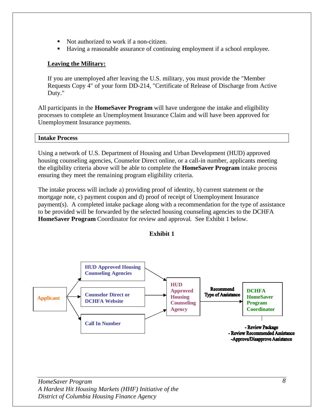- Not authorized to work if a non-citizen.
- Having a reasonable assurance of continuing employment if a school employee.

# **Leaving the Military:**

If you are unemployed after leaving the U.S. military, you must provide the "Member Requests Copy 4" of your form DD-214, "Certificate of Release of Discharge from Active Duty."

All participants in the **HomeSaver Program** will have undergone the intake and eligibility processes to complete an Unemployment Insurance Claim and will have been approved for Unemployment Insurance payments.

## **Intake Process**

Using a network of U.S. Department of Housing and Urban Development (HUD) approved housing counseling agencies, Counselor Direct online, or a call-in number, applicants meeting the eligibility criteria above will be able to complete the **HomeSaver Program** intake process ensuring they meet the remaining program eligibility criteria.

The intake process will include a) providing proof of identity, b) current statement or the mortgage note, c) payment coupon and d) proof of receipt of Unemployment Insurance payment(s). A completed intake package along with a recommendation for the type of assistance to be provided will be forwarded by the selected housing counseling agencies to the DCHFA **HomeSaver Program** Coordinator for review and approval. See Exhibit 1 below.



**Exhibit 1**

*HomeSaver Program A Hardest Hit Housing Markets (HHF) Initiative of the District of Columbia Housing Finance Agency*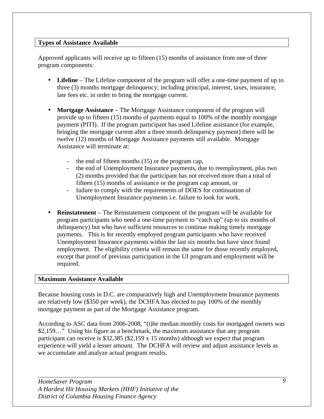# **Types of Assistance Available**

Approved applicants will receive up to fifteen (15) months of assistance from one of three program components:

- **Lifeline** The Lifeline component of the program will offer a one-time payment of up to three (3) months mortgage delinquency; including principal, interest, taxes, insurance, late fees etc. in order to bring the mortgage current.
- **Mortgage Assistance** The Mortgage Assistance component of the program will provide up to fifteen (15) months of payments equal to 100% of the monthly mortgage payment (PITI). If the program participant has used Lifeline assistance (for example, bringing the mortgage current after a three month delinquency payment) there will be twelve (12) months of Mortgage Assistance payments still available. Mortgage Assistance will terminate at:
	- the end of fifteen months (15) or the program cap,
	- the end of Unemployment Insurance payments, due to reemployment, plus two (2) months provided that the participant has not received more than a total of fifteen (15) months of assistance or the program cap amount, or
	- failure to comply with the requirements of DOES for continuation of Unemployment Insurance payments i.e. failure to look for work.
- **Reinstatement** The Reinstatement component of the program will be available for program participants who need a one-time payment to "catch up" (up to six months of delinquency) but who have sufficient resources to continue making timely mortgage payments. This is for recently employed program participants who have received Unemployment Insurance payments within the last six months but have since found employment. The eligibility criteria will remain the same for those recently employed, except that proof of previous participation in the UI program and employment will be required.

# **Maximum Assistance Available**

Because housing costs in D.C. are comparatively high and Unemployment Insurance payments are relatively low (\$350 per week), the DCHFA has elected to pay 100% of the monthly mortgage payment as part of the Mortgage Assistance program.

According to ASC data from 2006-2008, "(t)he median monthly costs for mortgaged owners was \$2,159…" Using his figure as a benchmark, the maximum assistance that any program participant can receive is \$32,385 (\$2,159 x 15 months) although we expect that program experience will yield a lesser amount. The DCHFA will review and adjust assistance levels as we accumulate and analyze actual program results.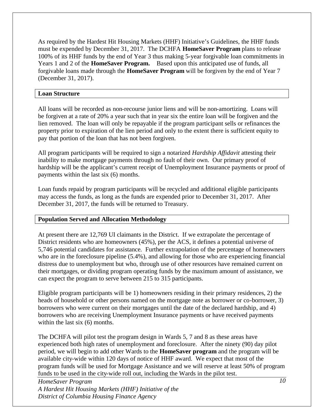As required by the Hardest Hit Housing Markets (HHF) Initiative's Guidelines, the HHF funds must be expended by December 31, 2017. The DCHFA **HomeSaver Program** plans to release 100% of its HHF funds by the end of Year 3 thus making 5-year forgivable loan commitments in Years 1 and 2 of the **HomeSaver Program.** Based upon this anticipated use of funds, all forgivable loans made through the **HomeSaver Program** will be forgiven by the end of Year 7 (December 31, 2017).

## **Loan Structure**

All loans will be recorded as non-recourse junior liens and will be non-amortizing. Loans will be forgiven at a rate of 20% a year such that in year six the entire loan will be forgiven and the lien removed. The loan will only be repayable if the program participant sells or refinances the property prior to expiration of the lien period and only to the extent there is sufficient equity to pay that portion of the loan that has not been forgiven.

All program participants will be required to sign a notarized *Hardship Affidavit* attesting their inability to make mortgage payments through no fault of their own. Our primary proof of hardship will be the applicant's current receipt of Unemployment Insurance payments or proof of payments within the last six (6) months.

Loan funds repaid by program participants will be recycled and additional eligible participants may access the funds, as long as the funds are expended prior to December 31, 2017. After December 31, 2017, the funds will be returned to Treasury.

# **Population Served and Allocation Methodology**

At present there are 12,769 UI claimants in the District. If we extrapolate the percentage of District residents who are homeowners (45%), per the ACS, it defines a potential universe of 5,746 potential candidates for assistance. Further extrapolation of the percentage of homeowners who are in the foreclosure pipeline (5.4%), and allowing for those who are experiencing financial distress due to unemployment but who, through use of other resources have remained current on their mortgages, or dividing program operating funds by the maximum amount of assistance, we can expect the program to serve between 215 to 315 participants.

Eligible program participants will be 1) homeowners residing in their primary residences, 2) the heads of household or other persons named on the mortgage note as borrower or co-borrower, 3) borrowers who were current on their mortgages until the date of the declared hardship, and 4) borrowers who are receiving Unemployment Insurance payments or have received payments within the last six  $(6)$  months.

The DCHFA will pilot test the program design in Wards 5, 7 and 8 as these areas have experienced both high rates of unemployment and foreclosure. After the ninety (90) day pilot period, we will begin to add other Wards to the **HomeSaver program** and the program will be available city-wide within 120 days of notice of HHF award. We expect that most of the program funds will be used for Mortgage Assistance and we will reserve at least 50% of program funds to be used in the city-wide roll out, including the Wards in the pilot test.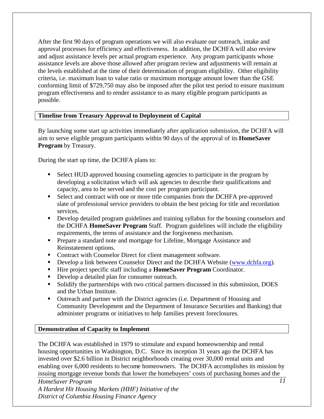After the first 90 days of program operations we will also evaluate our outreach, intake and approval processes for efficiency and effectiveness. In addition, the DCHFA will also review and adjust assistance levels per actual program experience. Any program participants whose assistance levels are above those allowed after program review and adjustments will remain at the levels established at the time of their determination of program eligibility. Other eligibility criteria, i.e. maximum loan to value ratio or maximum mortgage amount lower than the GSE conforming limit of \$729,750 may also be imposed after the pilot test period to ensure maximum program effectiveness and to render assistance to as many eligible program participants as possible.

# **Timeline from Treasury Approval to Deployment of Capital**

By launching some start up activities immediately after application submission, the DCHFA will aim to serve eligible program participants within 90 days of the approval of its **HomeSaver Program** by Treasury.

During the start up time, the DCHFA plans to:

- Select HUD approved housing counseling agencies to participate in the program by developing a solicitation which will ask agencies to describe their qualifications and capacity, area to be served and the cost per program participant.
- Select and contract with one or more title companies from the DCHFA pre-approved slate of professional service providers to obtain the best pricing for title and recordation services.
- **•** Develop detailed program guidelines and training syllabus for the housing counselors and the DCHFA **HomeSaver Program** Staff. Program guidelines will include the eligibility requirements, the terms of assistance and the forgiveness mechanism.
- **•** Prepare a standard note and mortgage for Lifeline, Mortgage Assistance and Reinstatement options.
- Contract with Counselor Direct for client management software.
- Develop a link between Counselor Direct and the DCHFA Website (www.dchfa.org).
- ß Hire project specific staff including a **HomeSaver Program** Coordinator.
- Develop a detailed plan for consumer outreach.
- **Solidify the partnerships with two critical partners discussed in this submission, DOES** and the Urban Institute.
- ß Outreach and partner with the District agencies (i.e. Department of Housing and Community Development and the Department of Insurance Securities and Banking) that administer programs or initiatives to help families prevent foreclosures.

# **Demonstration of Capacity to Implement**

The DCHFA was established in 1979 to stimulate and expand homeownership and rental housing opportunities in Washington, D.C. Since its inception 31 years ago the DCHFA has invested over \$2.6 billion in District neighborhoods creating over 30,000 rental units and enabling over 6,000 residents to become homeowners. The DCHFA accomplishes its mission by issuing mortgage revenue bonds that lower the homebuyers' costs of purchasing homes and the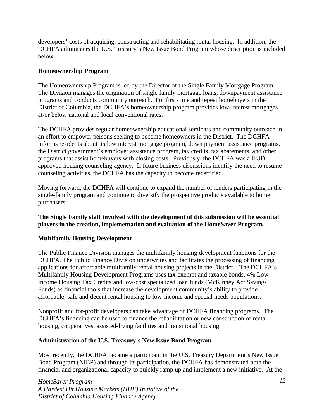developers' costs of acquiring, constructing and rehabilitating rental housing. In addition, the DCHFA administers the U.S. Treasury's New Issue Bond Program whose description is included below.

# **Homeownership Program**

The Homeownership Program is led by the Director of the Single Family Mortgage Program. The Division manages the origination of single family mortgage loans, downpayment assistance programs and conducts community outreach. For first-time and repeat homebuyers in the District of Columbia, the DCHFA's homeownership program provides low-interest mortgages at/or below national and local conventional rates.

The DCHFA provides regular homeownership educational seminars and community outreach in an effort to empower persons seeking to become homeowners in the District. The DCHFA informs residents about its low interest mortgage program, down payment assistance programs, the District government's employer assistance program, tax credits, tax abatements, and other programs that assist homebuyers with closing costs. Previously, the DCHFA was a HUD approved housing counseling agency. If future business discussions identify the need to resume counseling activities, the DCHFA has the capacity to become recertified.

Moving forward, the DCHFA will continue to expand the number of lenders participating in the single-family program and continue to diversify the prospective products available to home purchasers.

# **The Single Family staff involved with the development of this submission will be essential players in the creation, implementation and evaluation of the HomeSaver Program.**

# **Multifamily Housing Development**

The Public Finance Division manages the multifamily housing development functions for the DCHFA. The Public Finance Division underwrites and facilitates the processing of financing applications for affordable multifamily rental housing projects in the District. The DCHFA's Multifamily Housing Development Programs uses tax-exempt and taxable bonds, 4% Low Income Housing Tax Credits and low-cost specialized loan funds (McKinney Act Savings Funds) as financial tools that increase the development community's ability to provide affordable, safe and decent rental housing to low-income and special needs populations.

Nonprofit and for-profit developers can take advantage of DCHFA financing programs. The DCHFA's financing can be used to finance the rehabilitation or new construction of rental housing, cooperatives, assisted-living facilities and transitional housing.

# **Administration of the U.S. Treasury's New Issue Bond Program**

Most recently, the DCHFA became a participant in the U.S. Treasury Department's New Issue Bond Program (NIBP) and through its participation, the DCHFA has demonstrated both the financial and organizational capacity to quickly ramp up and implement a new initiative. At the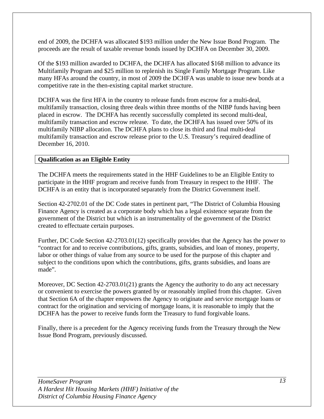end of 2009, the DCHFA was allocated \$193 million under the New Issue Bond Program. The proceeds are the result of taxable revenue bonds issued by DCHFA on December 30, 2009.

Of the \$193 million awarded to DCHFA, the DCHFA has allocated \$168 million to advance its Multifamily Program and \$25 million to replenish its Single Family Mortgage Program. Like many HFAs around the country, in most of 2009 the DCHFA was unable to issue new bonds at a competitive rate in the then-existing capital market structure.

DCHFA was the first HFA in the country to release funds from escrow for a multi-deal, multifamily transaction, closing three deals within three months of the NIBP funds having been placed in escrow. The DCHFA has recently successfully completed its second multi-deal, multifamily transaction and escrow release. To date, the DCHFA has issued over 50% of its multifamily NIBP allocation. The DCHFA plans to close its third and final multi-deal multifamily transaction and escrow release prior to the U.S. Treasury's required deadline of December 16, 2010.

# **Qualification as an Eligible Entity**

The DCHFA meets the requirements stated in the HHF Guidelines to be an Eligible Entity to participate in the HHF program and receive funds from Treasury in respect to the HHF. The DCHFA is an entity that is incorporated separately from the District Government itself.

Section 42-2702.01 of the DC Code states in pertinent part, "The District of Columbia Housing Finance Agency is created as a corporate body which has a legal existence separate from the government of the District but which is an instrumentality of the government of the District created to effectuate certain purposes.

Further, DC Code Section 42-2703.01(12) specifically provides that the Agency has the power to "contract for and to receive contributions, gifts, grants, subsidies, and loan of money, property, labor or other things of value from any source to be used for the purpose of this chapter and subject to the conditions upon which the contributions, gifts, grants subsidies, and loans are made".

Moreover, DC Section 42-2703.01(21) grants the Agency the authority to do any act necessary or convenient to exercise the powers granted by or reasonably implied from this chapter. Given that Section 6A of the chapter empowers the Agency to originate and service mortgage loans or contract for the origination and servicing of mortgage loans, it is reasonable to imply that the DCHFA has the power to receive funds form the Treasury to fund forgivable loans.

Finally, there is a precedent for the Agency receiving funds from the Treasury through the New Issue Bond Program, previously discussed.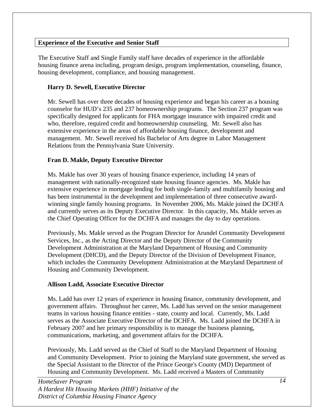# **Experience of the Executive and Senior Staff**

The Executive Staff and Single Family staff have decades of experience in the affordable housing finance arena including, program design, program implementation, counseling, finance, housing development, compliance, and housing management.

# **Harry D. Sewell, Executive Director**

Mr. Sewell has over three decades of housing experience and began his career as a housing counselor for HUD's 235 and 237 homeownership programs. The Section 237 program was specifically designed for applicants for FHA mortgage insurance with impaired credit and who, therefore, required credit and homeownership counseling. Mr. Sewell also has extensive experience in the areas of affordable housing finance, development and management. Mr. Sewell received his Bachelor of Arts degree in Labor Management Relations from the Pennsylvania State University.

# **Fran D. Makle, Deputy Executive Director**

Ms. Makle has over 30 years of housing finance experience, including 14 years of management with nationally-recognized state housing finance agencies. Ms. Makle has extensive experience in mortgage lending for both single-family and multifamily housing and has been instrumental in the development and implementation of three consecutive awardwinning single family housing programs. In November 2006, Ms. Makle joined the DCHFA and currently serves as its Deputy Executive Director. In this capacity, Ms. Makle serves as the Chief Operating Officer for the DCHFA and manages the day to day operations.

Previously, Ms. Makle served as the Program Director for Arundel Community Development Services, Inc., as the Acting Director and the Deputy Director of the Community Development Administration at the Maryland Department of Housing and Community Development (DHCD), and the Deputy Director of the Division of Development Finance, which includes the Community Development Administration at the Maryland Department of Housing and Community Development.

## **Allison Ladd, Associate Executive Director**

Ms. Ladd has over 12 years of experience in housing finance, community development, and government affairs. Throughout her career, Ms. Ladd has served on the senior management teams in various housing finance entities - state, county and local. Currently, Ms. Ladd serves as the Associate Executive Director of the DCHFA. Ms. Ladd joined the DCHFA in February 2007 and her primary responsibility is to manage the business planning, communications, marketing, and government affairs for the DCHFA.

Previously, Ms. Ladd served as the Chief of Staff to the Maryland Department of Housing and Community Development. Prior to joining the Maryland state government, she served as the Special Assistant to the Director of the Prince George's County (MD) Department of Housing and Community Development. Ms. Ladd received a Masters of Community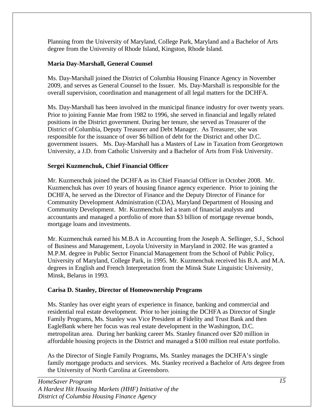Planning from the University of Maryland, College Park, Maryland and a Bachelor of Arts degree from the University of Rhode Island, Kingston, Rhode Island.

# **Maria Day-Marshall, General Counsel**

Ms. Day-Marshall joined the District of Columbia Housing Finance Agency in November 2009, and serves as General Counsel to the Issuer. Ms. Day-Marshall is responsible for the overall supervision, coordination and management of all legal matters for the DCHFA.

Ms. Day-Marshall has been involved in the municipal finance industry for over twenty years. Prior to joining Fannie Mae from 1982 to 1996, she served in financial and legally related positions in the District government. During her tenure, she served as Treasurer of the District of Columbia, Deputy Treasurer and Debt Manager. As Treasurer, she was responsible for the issuance of over \$6 billion of debt for the District and other D.C. government issuers. Ms. Day-Marshall has a Masters of Law in Taxation from Georgetown University, a J.D. from Catholic University and a Bachelor of Arts from Fisk University.

# **Sergei Kuzmenchuk, Chief Financial Officer**

Mr. Kuzmenchuk joined the DCHFA as its Chief Financial Officer in October 2008. Mr. Kuzmenchuk has over 10 years of housing finance agency experience. Prior to joining the DCHFA, he served as the Director of Finance and the Deputy Director of Finance for Community Development Administration (CDA), Maryland Department of Housing and Community Development. Mr. Kuzmenchuk led a team of financial analysts and accountants and managed a portfolio of more than \$3 billion of mortgage revenue bonds, mortgage loans and investments.

Mr. Kuzmenchuk earned his M.B.A in Accounting from the Joseph A. Sellinger, S.J., School of Business and Management, Loyola University in Maryland in 2002. He was granted a M.P.M. degree in Public Sector Financial Management from the School of Public Policy, University of Maryland, College Park, in 1995. Mr. Kuzmenchuk received his B.A. and M.A. degrees in English and French Interpretation from the Minsk State Linguistic University, Minsk, Belarus in 1993.

# **Carisa D. Stanley, Director of Homeownership Programs**

Ms. Stanley has over eight years of experience in finance, banking and commercial and residential real estate development. Prior to her joining the DCHFA as Director of Single Family Programs, Ms. Stanley was Vice President at Fidelity and Trust Bank and then EagleBank where her focus was real estate development in the Washington, D.C. metropolitan area. During her banking career Ms. Stanley financed over \$20 million in affordable housing projects in the District and managed a \$100 million real estate portfolio.

As the Director of Single Family Programs, Ms. Stanley manages the DCHFA's single family mortgage products and services. Ms. Stanley received a Bachelor of Arts degree from the University of North Carolina at Greensboro.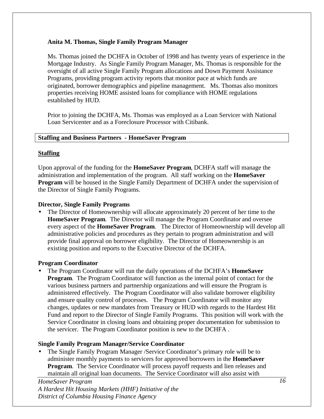# **Anita M. Thomas, Single Family Program Manager**

Ms. Thomas joined the DCHFA in October of 1998 and has twenty years of experience in the Mortgage Industry. As Single Family Program Manager, Ms. Thomas is responsible for the oversight of all active Single Family Program allocations and Down Payment Assistance Programs, providing program activity reports that monitor pace at which funds are originated, borrower demographics and pipeline management. Ms. Thomas also monitors properties receiving HOME assisted loans for compliance with HOME regulations established by HUD.

Prior to joining the DCHFA, Ms. Thomas was employed as a Loan Servicer with National Loan Servicenter and as a Foreclosure Processor with Citibank.

## **Staffing and Business Partners - HomeSaver Program**

# **Staffing**

Upon approval of the funding for the **HomeSaver Program**, DCHFA staff will manage the administration and implementation of the program. All staff working on the **HomeSaver Program** will be housed in the Single Family Department of DCHFA under the supervision of the Director of Single Family Programs.

# **Director, Single Family Programs**

• The Director of Homeownership will allocate approximately 20 percent of her time to the **HomeSaver Program**. The Director will manage the Program Coordinator and oversee every aspect of the **HomeSaver Program**. The Director of Homeownership will develop all administrative policies and procedures as they pertain to program administration and will provide final approval on borrower eligibility. The Director of Homeownership is an existing position and reports to the Executive Director of the DCHFA.

## **Program Coordinator**

• The Program Coordinator will run the daily operations of the DCHFA's **HomeSaver Program**. The Program Coordinator will function as the internal point of contact for the various business partners and partnership organizations and will ensure the Program is administered effectively. The Program Coordinator will also validate borrower eligibility and ensure quality control of processes. The Program Coordinator will monitor any changes, updates or new mandates from Treasury or HUD with regards to the Hardest Hit Fund and report to the Director of Single Family Programs. This position will work with the Service Coordinator in closing loans and obtaining proper documentation for submission to the servicer. The Program Coordinator position is new to the DCHFA .

# **Single Family Program Manager/Service Coordinator**

• The Single Family Program Manager /Service Coordinator's primary role will be to administer monthly payments to servicers for approved borrowers in the **HomeSaver Program.** The Service Coordinator will process payoff requests and lien releases and maintain all original loan documents. The Service Coordinator will also assist with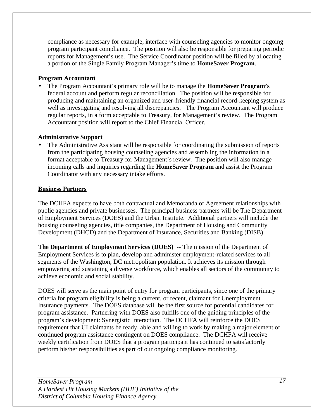compliance as necessary for example, interface with counseling agencies to monitor ongoing program participant compliance. The position will also be responsible for preparing periodic reports for Management's use. The Service Coordinator position will be filled by allocating a portion of the Single Family Program Manager's time to **HomeSaver Program**.

# **Program Accountant**

• The Program Accountant's primary role will be to manage the **HomeSaver Program's** federal account and perform regular reconciliation. The position will be responsible for producing and maintaining an organized and user-friendly financial record-keeping system as well as investigating and resolving all discrepancies. The Program Accountant will produce regular reports, in a form acceptable to Treasury, for Management's review. The Program Accountant position will report to the Chief Financial Officer.

# **Administrative Support**

• The Administrative Assistant will be responsible for coordinating the submission of reports from the participating housing counseling agencies and assembling the information in a format acceptable to Treasury for Management's review. The position will also manage incoming calls and inquiries regarding the **HomeSaver Program** and assist the Program Coordinator with any necessary intake efforts.

# **Business Partners**

The DCHFA expects to have both contractual and Memoranda of Agreement relationships with public agencies and private businesses. The principal business partners will be The Department of Employment Services (DOES) and the Urban Institute. Additional partners will include the housing counseling agencies, title companies, the Department of Housing and Community Development (DHCD) and the Department of Insurance, Securities and Banking (DISB)

**The Department of Employment Services (DOES) --** The mission of the Department of Employment Services is to plan, develop and administer employment-related services to all segments of the Washington, DC metropolitan population. It achieves its mission through empowering and sustaining a diverse workforce, which enables all sectors of the community to achieve economic and social stability.

DOES will serve as the main point of entry for program participants, since one of the primary criteria for program eligibility is being a current, or recent, claimant for Unemployment Insurance payments. The DOES database will be the first source for potential candidates for program assistance. Partnering with DOES also fulfills one of the guiding principles of the program's development: Synergistic Interaction. The DCHFA will reinforce the DOES requirement that UI claimants be ready, able and willing to work by making a major element of continued program assistance contingent on DOES compliance. The DCHFA will receive weekly certification from DOES that a program participant has continued to satisfactorily perform his/her responsibilities as part of our ongoing compliance monitoring.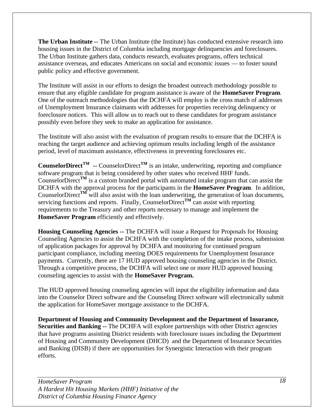**The Urban Institute --** The Urban Institute (the Institute) has conducted extensive research into housing issues in the District of Columbia including mortgage delinquencies and foreclosures. The Urban Institute gathers data, conducts research, evaluates programs, offers technical assistance overseas, and educates Americans on social and economic issues — to foster sound public policy and effective government.

The Institute will assist in our efforts to design the broadest outreach methodology possible to ensure that any eligible candidate for program assistance is aware of the **HomeSaver Program**. One of the outreach methodologies that the DCHFA will employ is the cross match of addresses of Unemployment Insurance claimants with addresses for properties receiving delinquency or foreclosure notices. This will allow us to reach out to these candidates for program assistance possibly even before they seek to make an application for assistance.

The Institute will also assist with the evaluation of program results to ensure that the DCHFA is reaching the target audience and achieving optimum results including length of the assistance period, level of maximum assistance, effectiveness in preventing foreclosures etc.

**CounselorDirect**<sup>TM</sup> -- CounselorDirect<sup>TM</sup> is an intake, underwriting, reporting and compliance software program that is being considered by other states who received HHF funds. CounselorDirect<sup>TM</sup> is a custom branded portal with automated intake program that can assist the DCHFA with the approval process for the participants in the **HomeSaver Program**. In addition, CounselorDirect<sup>TM</sup> will also assist with the loan underwriting, the generation of loan documents, servicing functions and reports. Finally, CounselorDirect<sup>TM</sup> can assist with reporting requirements to the Treasury and other reports necessary to manage and implement the **HomeSaver Program** efficiently and effectively.

**Housing Counseling Agencies --** The DCHFA will issue a Request for Proposals for Housing Counseling Agencies to assist the DCHFA with the completion of the intake process, submission of application packages for approval by DCHFA and monitoring for continued program participant compliance, including meeting DOES requirements for Unemployment Insurance payments. Currently, there are 17 HUD approved housing counseling agencies in the District. Through a competitive process, the DCHFA will select one or more HUD approved housing counseling agencies to assist with the **HomeSaver Program.**

The HUD approved housing counseling agencies will input the eligibility information and data into the Counselor Direct software and the Counseling Direct software will electronically submit the application for HomeSaver mortgage assistance to the DCHFA.

**Department of Housing and Community Development and the Department of Insurance, Securities and Banking --** The DCHFA will explore partnerships with other District agencies that have programs assisting District residents with foreclosure issues including the Department of Housing and Community Development (DHCD) and the Department of Insurance Securities and Banking (DISB) if there are opportunities for Synergistic Interaction with their program efforts.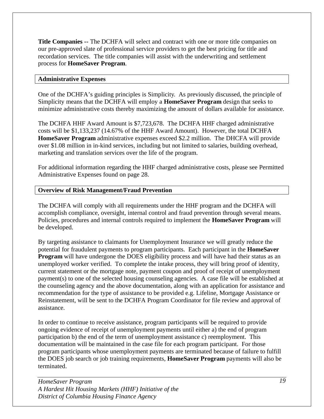**Title Companies --** The DCHFA will select and contract with one or more title companies on our pre-approved slate of professional service providers to get the best pricing for title and recordation services. The title companies will assist with the underwriting and settlement process for **HomeSaver Program**.

## **Administrative Expenses**

One of the DCHFA's guiding principles is Simplicity. As previously discussed, the principle of Simplicity means that the DCHFA will employ a **HomeSaver Program** design that seeks to minimize administrative costs thereby maximizing the amount of dollars available for assistance.

The DCHFA HHF Award Amount is \$7,723,678. The DCHFA HHF charged administrative costs will be \$1,133,237 (14.67% of the HHF Award Amount). However, the total DCHFA **HomeSaver Program** administrative expenses exceed \$2.2 million. The DHCFA will provide over \$1.08 million in in-kind services, including but not limited to salaries, building overhead, marketing and translation services over the life of the program.

For additional information regarding the HHF charged administrative costs, please see Permitted Administrative Expenses found on page 28.

# **Overview of Risk Management/Fraud Prevention**

The DCHFA will comply with all requirements under the HHF program and the DCHFA will accomplish compliance, oversight, internal control and fraud prevention through several means. Policies, procedures and internal controls required to implement the **HomeSaver Program** will be developed.

By targeting assistance to claimants for Unemployment Insurance we will greatly reduce the potential for fraudulent payments to program participants. Each participant in the **HomeSaver Program** will have undergone the DOES eligibility process and will have had their status as an unemployed worker verified. To complete the intake process, they will bring proof of identity, current statement or the mortgage note, payment coupon and proof of receipt of unemployment payment(s) to one of the selected housing counseling agencies. A case file will be established at the counseling agency and the above documentation, along with an application for assistance and recommendation for the type of assistance to be provided e.g. Lifeline, Mortgage Assistance or Reinstatement, will be sent to the DCHFA Program Coordinator for file review and approval of assistance.

In order to continue to receive assistance, program participants will be required to provide ongoing evidence of receipt of unemployment payments until either a) the end of program participation b) the end of the term of unemployment assistance c) reemployment. This documentation will be maintained in the case file for each program participant. For those program participants whose unemployment payments are terminated because of failure to fulfill the DOES job search or job training requirements, **HomeSaver Program** payments will also be terminated.